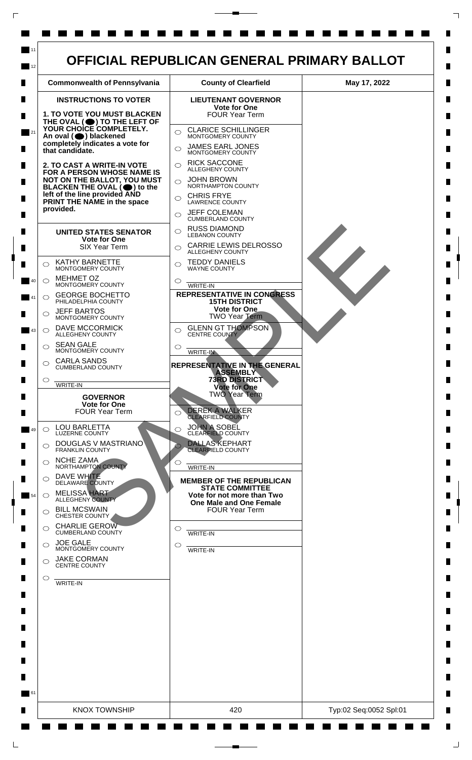

 $\mathsf{L}$ 

 $\Box$